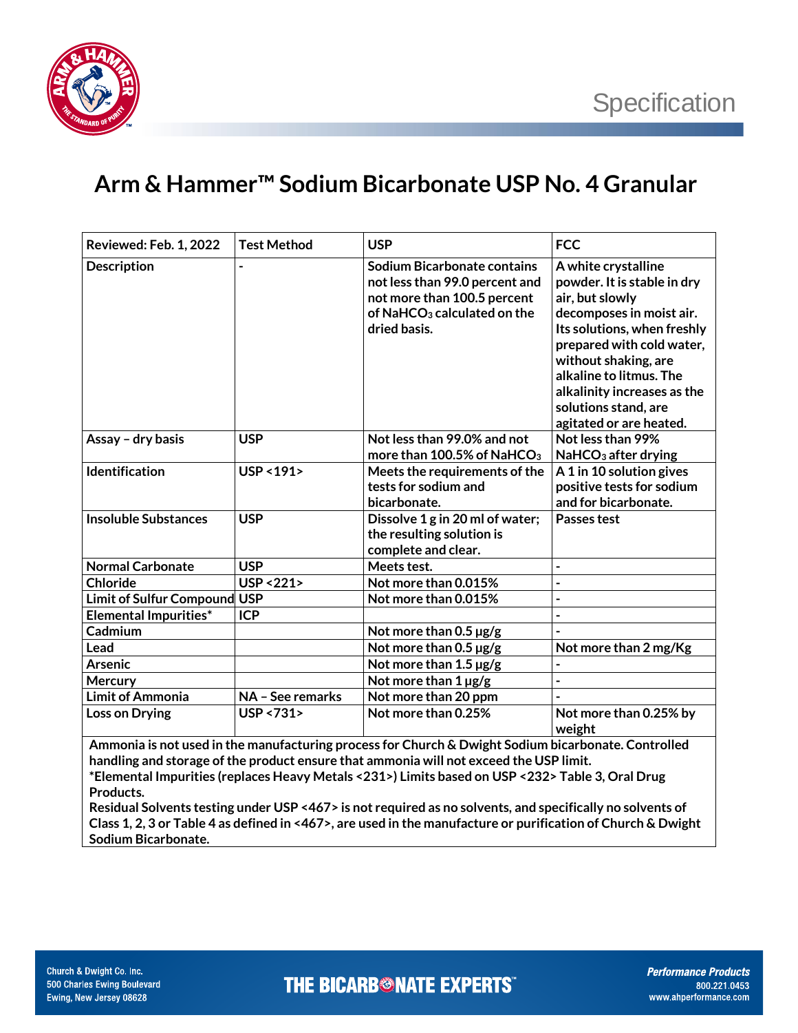

## **Arm & Hammer™ Sodium Bicarbonate USP No. 4 Granular**

| Reviewed: Feb. 1, 2022                                                                                                                                                                        | <b>Test Method</b>      | <b>USP</b>                                                                                                                                              | <b>FCC</b>                                                                                                                                                                                                                                                                                         |  |  |
|-----------------------------------------------------------------------------------------------------------------------------------------------------------------------------------------------|-------------------------|---------------------------------------------------------------------------------------------------------------------------------------------------------|----------------------------------------------------------------------------------------------------------------------------------------------------------------------------------------------------------------------------------------------------------------------------------------------------|--|--|
| <b>Description</b>                                                                                                                                                                            |                         | Sodium Bicarbonate contains<br>not less than 99.0 percent and<br>not more than 100.5 percent<br>of NaHCO <sub>3</sub> calculated on the<br>dried basis. | A white crystalline<br>powder. It is stable in dry<br>air, but slowly<br>decomposes in moist air.<br>Its solutions, when freshly<br>prepared with cold water,<br>without shaking, are<br>alkaline to litmus. The<br>alkalinity increases as the<br>solutions stand, are<br>agitated or are heated. |  |  |
| Assay - dry basis                                                                                                                                                                             | <b>USP</b>              | Not less than 99.0% and not<br>more than 100.5% of NaHCO <sub>3</sub>                                                                                   | Not less than 99%<br>NaHCO <sub>3</sub> after drying                                                                                                                                                                                                                                               |  |  |
| Identification                                                                                                                                                                                | <b>USP &lt; 191&gt;</b> | Meets the requirements of the<br>tests for sodium and<br>bicarbonate.                                                                                   | A 1 in 10 solution gives<br>positive tests for sodium<br>and for bicarbonate.                                                                                                                                                                                                                      |  |  |
| <b>Insoluble Substances</b>                                                                                                                                                                   | <b>USP</b>              | Dissolve 1 g in 20 ml of water;<br>the resulting solution is<br>complete and clear.                                                                     | Passes test                                                                                                                                                                                                                                                                                        |  |  |
| <b>Normal Carbonate</b>                                                                                                                                                                       | <b>USP</b>              | Meets test.                                                                                                                                             | $\overline{a}$                                                                                                                                                                                                                                                                                     |  |  |
| <b>Chloride</b>                                                                                                                                                                               | <b>USP &lt;221&gt;</b>  | Not more than 0.015%                                                                                                                                    | $\overline{a}$                                                                                                                                                                                                                                                                                     |  |  |
| Limit of Sulfur Compound USP                                                                                                                                                                  |                         | Not more than 0.015%                                                                                                                                    | $\overline{a}$                                                                                                                                                                                                                                                                                     |  |  |
| <b>Elemental Impurities*</b>                                                                                                                                                                  | <b>ICP</b>              |                                                                                                                                                         |                                                                                                                                                                                                                                                                                                    |  |  |
| Cadmium                                                                                                                                                                                       |                         | Not more than $0.5 \,\mu g/g$                                                                                                                           |                                                                                                                                                                                                                                                                                                    |  |  |
| Lead                                                                                                                                                                                          |                         | Not more than $0.5 \,\mathrm{\mu g/g}$                                                                                                                  | Not more than 2 mg/Kg                                                                                                                                                                                                                                                                              |  |  |
| <b>Arsenic</b>                                                                                                                                                                                |                         | Not more than $1.5 \,\mu g/g$                                                                                                                           | $\overline{\phantom{0}}$                                                                                                                                                                                                                                                                           |  |  |
| Mercury                                                                                                                                                                                       |                         | Not more than $1 \mu g/g$                                                                                                                               | $\overline{a}$                                                                                                                                                                                                                                                                                     |  |  |
| <b>Limit of Ammonia</b>                                                                                                                                                                       | NA - See remarks        | Not more than 20 ppm                                                                                                                                    |                                                                                                                                                                                                                                                                                                    |  |  |
| Loss on Drying                                                                                                                                                                                | <b>USP &lt;731&gt;</b>  | Not more than 0.25%                                                                                                                                     | Not more than 0.25% by<br>weight                                                                                                                                                                                                                                                                   |  |  |
| Ammonia is not used in the manufacturing process for Church & Dwight Sodium bicarbonate. Controlled<br>handling and storage of the product ensure that ammonia will not exceed the USP limit. |                         |                                                                                                                                                         |                                                                                                                                                                                                                                                                                                    |  |  |

**\*Elemental Impurities (replaces Heavy Metals <231>) Limits based on USP <232> Table 3, Oral Drug Products.** 

**Residual Solvents testing under USP <467> is not required as no solvents, and specifically no solvents of Class 1, 2, 3 or Table 4 as defined in <467>, are used in the manufacture or purification of Church & Dwight Sodium Bicarbonate.**

**THE BICARB<sup>®</sup>NATE EXPERTS**